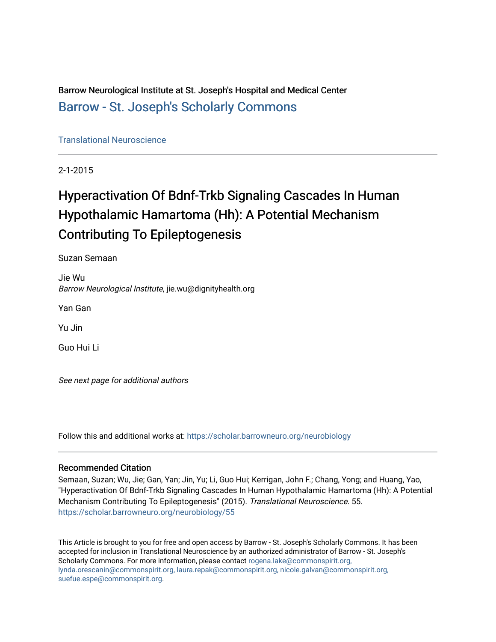Barrow Neurological Institute at St. Joseph's Hospital and Medical Center [Barrow - St. Joseph's Scholarly Commons](https://scholar.barrowneuro.org/) 

[Translational Neuroscience](https://scholar.barrowneuro.org/neurobiology)

2-1-2015

# Hyperactivation Of Bdnf-Trkb Signaling Cascades In Human Hypothalamic Hamartoma (Hh): A Potential Mechanism Contributing To Epileptogenesis

Suzan Semaan

Jie Wu Barrow Neurological Institute, jie.wu@dignityhealth.org

Yan Gan

Yu Jin

Guo Hui Li

See next page for additional authors

Follow this and additional works at: [https://scholar.barrowneuro.org/neurobiology](https://scholar.barrowneuro.org/neurobiology?utm_source=scholar.barrowneuro.org%2Fneurobiology%2F55&utm_medium=PDF&utm_campaign=PDFCoverPages)

## Recommended Citation

Semaan, Suzan; Wu, Jie; Gan, Yan; Jin, Yu; Li, Guo Hui; Kerrigan, John F.; Chang, Yong; and Huang, Yao, "Hyperactivation Of Bdnf-Trkb Signaling Cascades In Human Hypothalamic Hamartoma (Hh): A Potential Mechanism Contributing To Epileptogenesis" (2015). Translational Neuroscience. 55. [https://scholar.barrowneuro.org/neurobiology/55](https://scholar.barrowneuro.org/neurobiology/55?utm_source=scholar.barrowneuro.org%2Fneurobiology%2F55&utm_medium=PDF&utm_campaign=PDFCoverPages) 

This Article is brought to you for free and open access by Barrow - St. Joseph's Scholarly Commons. It has been accepted for inclusion in Translational Neuroscience by an authorized administrator of Barrow - St. Joseph's Scholarly Commons. For more information, please contact [rogena.lake@commonspirit.org,](mailto:rogena.lake@commonspirit.org,%20lynda.orescanin@commonspirit.org,%20laura.repak@commonspirit.org,%20nicole.galvan@commonspirit.org,%20suefue.espe@commonspirit.org) [lynda.orescanin@commonspirit.org, laura.repak@commonspirit.org, nicole.galvan@commonspirit.org,](mailto:rogena.lake@commonspirit.org,%20lynda.orescanin@commonspirit.org,%20laura.repak@commonspirit.org,%20nicole.galvan@commonspirit.org,%20suefue.espe@commonspirit.org)  [suefue.espe@commonspirit.org](mailto:rogena.lake@commonspirit.org,%20lynda.orescanin@commonspirit.org,%20laura.repak@commonspirit.org,%20nicole.galvan@commonspirit.org,%20suefue.espe@commonspirit.org).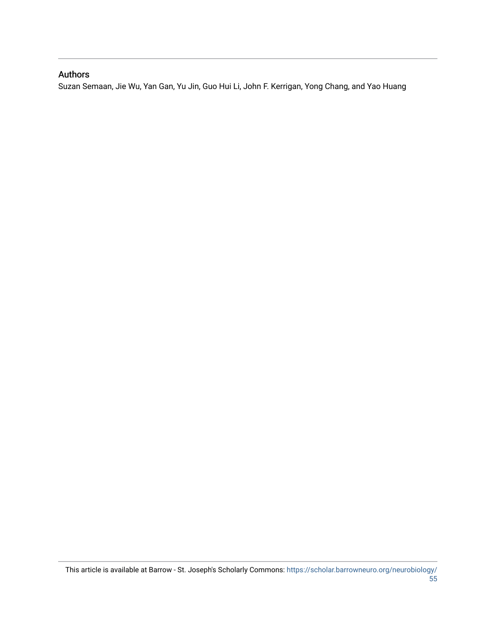## Authors

Suzan Semaan, Jie Wu, Yan Gan, Yu Jin, Guo Hui Li, John F. Kerrigan, Yong Chang, and Yao Huang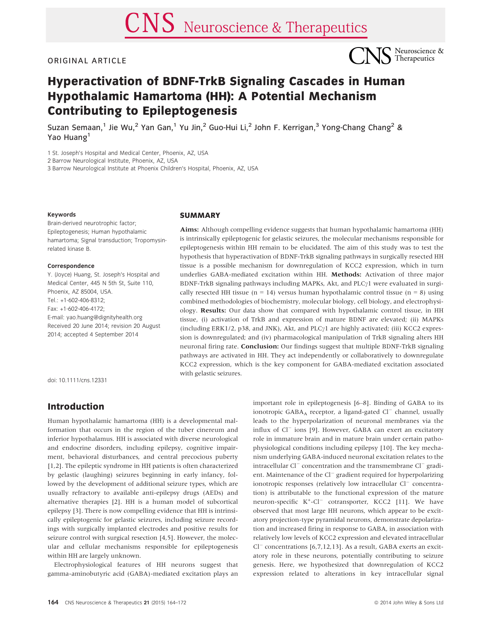#### ORIGINAL ARTICLE



## Hyperactivation of BDNF-TrkB Signaling Cascades in Human Hypothalamic Hamartoma (HH): A Potential Mechanism Contributing to Epileptogenesis

Suzan Semaan,<sup>1</sup> Jie Wu,<sup>2</sup> Yan Gan,<sup>1</sup> Yu Jin,<sup>2</sup> Guo-Hui Li,<sup>2</sup> John F. Kerrigan,<sup>3</sup> Yong-Chang Chang<sup>2</sup> & Yao Huang<sup>1</sup>

1 St. Joseph's Hospital and Medical Center, Phoenix, AZ, USA

2 Barrow Neurological Institute, Phoenix, AZ, USA

3 Barrow Neurological Institute at Phoenix Children's Hospital, Phoenix, AZ, USA

#### Keywords

Brain-derived neurotrophic factor; Epileptogenesis; Human hypothalamic hamartoma; Signal transduction; Tropomysinrelated kinase B.

#### Correspondence

Y. (Joyce) Huang, St. Joseph's Hospital and Medical Center, 445 N 5th St, Suite 110, Phoenix, AZ 85004, USA. Tel.: +1-602-406-8312; Fax: +1-602-406-4172; E-mail: yao.huang@dignityhealth.org Received 20 June 2014; revision 20 August 2014; accepted 4 September 2014

doi: 10.1111/cns.12331

## Introduction

## **SUMMARY**

Aims: Although compelling evidence suggests that human hypothalamic hamartoma (HH) is intrinsically epileptogenic for gelastic seizures, the molecular mechanisms responsible for epileptogenesis within HH remain to be elucidated. The aim of this study was to test the hypothesis that hyperactivation of BDNF-TrkB signaling pathways in surgically resected HH tissue is a possible mechanism for downregulation of KCC2 expression, which in turn underlies GABA-mediated excitation within HH. Methods: Activation of three major BDNF-TrkB signaling pathways including MAPKs, Akt, and PLC $\gamma$ 1 were evaluated in surgically resected HH tissue (n = 14) versus human hypothalamic control tissue (n = 8) using combined methodologies of biochemistry, molecular biology, cell biology, and electrophysiology. Results: Our data show that compared with hypothalamic control tissue, in HH tissue, (i) activation of TrkB and expression of mature BDNF are elevated; (ii) MAPKs (including ERK1/2, p38, and JNK), Akt, and PLC $\gamma$ 1 are highly activated; (iii) KCC2 expression is downregulated; and (iv) pharmacological manipulation of TrkB signaling alters HH neuronal firing rate. **Conclusion:** Our findings suggest that multiple BDNF-TrkB signaling pathways are activated in HH. They act independently or collaboratively to downregulate KCC2 expression, which is the key component for GABA-mediated excitation associated with gelastic seizures.

Human hypothalamic hamartoma (HH) is a developmental malformation that occurs in the region of the tuber cinereum and inferior hypothalamus. HH is associated with diverse neurological and endocrine disorders, including epilepsy, cognitive impairment, behavioral disturbances, and central precocious puberty [1,2]. The epileptic syndrome in HH patients is often characterized by gelastic (laughing) seizures beginning in early infancy, followed by the development of additional seizure types, which are usually refractory to available anti-epilepsy drugs (AEDs) and alternative therapies [2]. HH is a human model of subcortical epilepsy [3]. There is now compelling evidence that HH is intrinsically epileptogenic for gelastic seizures, including seizure recordings with surgically implanted electrodes and positive results for seizure control with surgical resection [4,5]. However, the molecular and cellular mechanisms responsible for epileptogenesis within HH are largely unknown.

Electrophysiological features of HH neurons suggest that gamma-aminobutyric acid (GABA)-mediated excitation plays an

ionotropic GABA<sub>A</sub> receptor, a ligand-gated  $Cl^-$  channel, usually leads to the hyperpolarization of neuronal membranes via the influx of  $Cl^-$  ions [9]. However, GABA can exert an excitatory role in immature brain and in mature brain under certain pathophysiological conditions including epilepsy [10]. The key mechanism underlying GABA-induced neuronal excitation relates to the intracellular  $Cl^-$  concentration and the transmembrane  $Cl^-$  gradient. Maintenance of the  $Cl^-$  gradient required for hyperpolarizing ionotropic responses (relatively low intracellular  $Cl^-$  concentration) is attributable to the functional expression of the mature neuron-specific K<sup>+</sup>-Cl<sup>-</sup> cotransporter, KCC2 [11]. We have observed that most large HH neurons, which appear to be excitatory projection-type pyramidal neurons, demonstrate depolarization and increased firing in response to GABA, in association with relatively low levels of KCC2 expression and elevated intracellular  $Cl^-$  concentrations [6,7,12,13]. As a result, GABA exerts an excitatory role in these neurons, potentially contributing to seizure genesis. Here, we hypothesized that downregulation of KCC2 expression related to alterations in key intracellular signal

important role in epileptogenesis [6–8]. Binding of GABA to its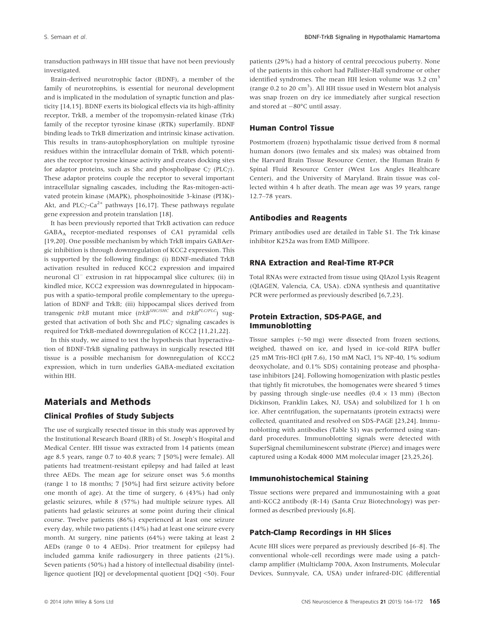transduction pathways in HH tissue that have not been previously investigated.

Brain-derived neurotrophic factor (BDNF), a member of the family of neurotrophins, is essential for neuronal development and is implicated in the modulation of synaptic function and plasticity [14,15]. BDNF exerts its biological effects via its high-affinity receptor, TrkB, a member of the tropomysin-related kinase (Trk) family of the receptor tyrosine kinase (RTK) superfamily. BDNF binding leads to TrkB dimerization and intrinsic kinase activation. This results in trans-autophosphorylation on multiple tyrosine residues within the intracellular domain of TrkB, which potentiates the receptor tyrosine kinase activity and creates docking sites for adaptor proteins, such as Shc and phospholipase C $\gamma$  (PLC $\gamma$ ). These adaptor proteins couple the receptor to several important intracellular signaling cascades, including the Ras-mitogen-activated protein kinase (MAPK), phosphoinositide 3-kinase (PI3K)- Akt, and PLC $\gamma$ -Ca<sup>2+</sup> pathways [16,17]. These pathways regulate gene expression and protein translation [18].

It has been previously reported that TrkB activation can reduce GABAA receptor-mediated responses of CA1 pyramidal cells [19,20]. One possible mechanism by which TrkB impairs GABAergic inhibition is through downregulation of KCC2 expression. This is supported by the following findings: (i) BDNF-mediated TrkB activation resulted in reduced KCC2 expression and impaired neuronal  $Cl^-$  extrusion in rat hippocampal slice cultures; (ii) in kindled mice, KCC2 expression was downregulated in hippocampus with a spatio-temporal profile complementary to the upregulation of BDNF and TrkB; (iii) hippocampal slices derived from transgenic trkB mutant mice (trkB<sup>SHC/SHC</sup> and trkB<sup>PLC/PLC</sup>) suggested that activation of both Shc and PLC $\gamma$  signaling cascades is required for TrkB-mediated downregulation of KCC2 [11,21,22].

In this study, we aimed to test the hypothesis that hyperactivation of BDNF-TrkB signaling pathways in surgically resected HH tissue is a possible mechanism for downregulation of KCC2 expression, which in turn underlies GABA-mediated excitation within HH.

## Materials and Methods Clinical Profiles of Study Subjects

The use of surgically resected tissue in this study was approved by the Institutional Research Board (IRB) of St. Joseph's Hospital and Medical Center. HH tissue was extracted from 14 patients (mean age 8.5 years, range 0.7 to 40.8 years; 7 [50%] were female). All patients had treatment-resistant epilepsy and had failed at least three AEDs. The mean age for seizure onset was 5.6 months (range 1 to 18 months; 7 [50%] had first seizure activity before one month of age). At the time of surgery, 6 (43%) had only gelastic seizures, while 8 (57%) had multiple seizure types. All patients had gelastic seizures at some point during their clinical course. Twelve patients (86%) experienced at least one seizure every day, while two patients (14%) had at least one seizure every month. At surgery, nine patients (64%) were taking at least 2 AEDs (range 0 to 4 AEDs). Prior treatment for epilepsy had included gamma knife radiosurgery in three patients (21%). Seven patients (50%) had a history of intellectual disability (intelligence quotient [IQ] or developmental quotient [DQ] <50). Four

patients (29%) had a history of central precocious puberty. None of the patients in this cohort had Pallister-Hall syndrome or other identified syndromes. The mean HH lesion volume was  $3.2 \text{ cm}^3$ (range 0.2 to 20 cm<sup>3</sup>). All HH tissue used in Western blot analysis was snap frozen on dry ice immediately after surgical resection and stored at  $-80^{\circ}$ C until assay.

#### Human Control Tissue

Postmortem (frozen) hypothalamic tissue derived from 8 normal human donors (two females and six males) was obtained from the Harvard Brain Tissue Resource Center, the Human Brain & Spinal Fluid Resource Center (West Los Angles Healthcare Center), and the University of Maryland. Brain tissue was collected within 4 h after death. The mean age was 39 years, range 12.7–78 years.

#### Antibodies and Reagents

Primary antibodies used are detailed in Table S1. The Trk kinase inhibitor K252a was from EMD Millipore.

#### RNA Extraction and Real-Time RT-PCR

Total RNAs were extracted from tissue using QIAzol Lysis Reagent (QIAGEN, Valencia, CA, USA). cDNA synthesis and quantitative PCR were performed as previously described [6,7,23].

#### Protein Extraction, SDS-PAGE, and Immunoblotting

Tissue samples (~50 mg) were dissected from frozen sections, weighed, thawed on ice, and lysed in ice-cold RIPA buffer (25 mM Tris-HCl (pH 7.6), 150 mM NaCl, 1% NP-40, 1% sodium deoxycholate, and 0.1% SDS) containing protease and phosphatase inhibitors [24]. Following homogenization with plastic pestles that tightly fit microtubes, the homogenates were sheared 5 times by passing through single-use needles  $(0.4 \times 13 \text{ mm})$  (Becton Dickinson, Franklin Lakes, NJ, USA) and solubilized for 1 h on ice. After centrifugation, the supernatants (protein extracts) were collected, quantitated and resolved on SDS-PAGE [23,24]. Immunoblotting with antibodies (Table S1) was performed using standard procedures. Immunoblotting signals were detected with SuperSignal chemiluminescent substrate (Pierce) and images were captured using a Kodak 4000 MM molecular imager [23,25,26].

#### Immunohistochemical Staining

Tissue sections were prepared and immunostaining with a goat anti-KCC2 antibody (R-14) (Santa Cruz Biotechnology) was performed as described previously [6,8].

#### Patch-Clamp Recordings in HH Slices

Acute HH slices were prepared as previously described [6–8]. The conventional whole-cell recordings were made using a patchclamp amplifier (Multiclamp 700A, Axon Instruments, Molecular Devices, Sunnyvale, CA, USA) under infrared-DIC (differential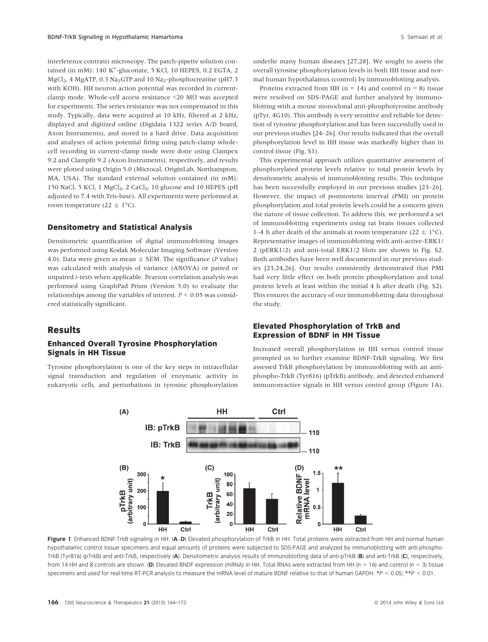interference contrast) microscopy. The patch-pipette solution contained (in mM): 140 K<sup>+</sup>-gluconate, 5 KCl, 10 HEPES, 0.2 EGTA, 2 MgCl<sub>2</sub>, 4 MgATP, 0.3 Na<sub>2</sub>GTP and 10 Na<sub>2</sub>-phosphocreatine (pH7.3) with KOH). HH neuron action potential was recorded in currentclamp mode. Whole-cell access resistance <20 MΩ was accepted for experiments. The series resistance was not compensated in this study. Typically, data were acquired at 10 kHz, filtered at 2 kHz, displayed and digitized online (Digidata 1322 series A/D board, Axon Instruments), and stored to a hard drive. Data acquisition and analyses of action potential firing using patch-clamp wholecell recording in current-clamp mode were done using Clampex 9.2 and Clampfit 9.2 (Axon Instruments), respectively, and results were plotted using Origin 5.0 (Microcal, OriginLab, Northampton, MA, USA). The standard external solution contained (in mM): 150 NaCl, 5 KCl, 1 MgCl<sub>2</sub>, 2 CaCl<sub>2</sub>, 10 glucose and 10 HEPES (pH adjusted to 7.4 with Tris-base). All experiments were performed at room temperature (22  $\pm$  1°C).

#### Densitometry and Statistical Analysis

Densitometric quantification of digital immunoblotting images was performed using Kodak Molecular Imaging Software (Version 4.0). Data were given as mean  $\pm$  SEM. The significance (P value) was calculated with analysis of variance (ANOVA) or paired or unpaired t-tests when applicable. Pearson correlation analysis was performed using GraphPad Prism (Version 5.0) to evaluate the relationships among the variables of interest.  $P \leq 0.05$  was considered statistically significant.

#### Results

#### Enhanced Overall Tyrosine Phosphorylation Signals in HH Tissue

Tyrosine phosphorylation is one of the key steps in intracellular signal transduction and regulation of enzymatic activity in eukaryotic cells, and perturbations in tyrosine phosphorylation

underlie many human diseases [27,28]. We sought to assess the overall tyrosine phosphorylation levels in both HH tissue and normal human hypothalamus (control) by immunoblotting analysis.

Proteins extracted from HH ( $n = 14$ ) and control ( $n = 8$ ) tissue were resolved on SDS-PAGE and further analyzed by immunoblotting with a mouse monoclonal anti-phosphotyrosine antibody (pTyr, 4G10). This antibody is very sensitive and reliable for detection of tyrosine phosphorylation and has been successfully used in our previous studies [24–26]. Our results indicated that the overall phosphorylation level in HH tissue was markedly higher than in control tissue (Fig. S1).

This experimental approach utilizes quantitative assessment of phosphorylated protein levels relative to total protein levels by densitometric analysis of immunoblotting results. This technique has been successfully employed in our previous studies [23–26]. However, the impact of postmortem interval (PMI) on protein phosphorylation and total protein levels could be a concern given the nature of tissue collection. To address this, we performed a set of immunoblotting experiments using rat brain tissues collected 1–4 h after death of the animals at room temperature (22  $\pm$  1°C). Representative images of immunoblotting with anti-active-ERK1/ 2 (pERK1/2) and anti-total ERK1/2 blots are shown in Fig. S2. Both antibodies have been well documented in our previous studies [23,24,26]. Our results consistently demonstrated that PMI had very little effect on both protein phosphorylation and total protein levels at least within the initial 4 h after death (Fig. S2). This ensures the accuracy of our immunoblotting data throughout the study.

#### Elevated Phosphorylation of TrkB and Expression of BDNF in HH Tissue

Increased overall phosphorylation in HH versus control tissue prompted us to further examine BDNF-TrkB signaling. We first assessed TrkB phosphorylation by immunoblotting with an antiphospho-TrkB (Tyr816) (pTrkB) antibody, and detected enhanced immunoreactive signals in HH versus control group (Figure 1A).



Figure 1 Enhanced BDNF-TrkB signaling in HH. (A-D) Elevated phosphorylation of TrkB in HH. Total proteins were extracted from HH and normal human hypothalamic control tissue specimens and equal amounts of proteins were subjected to SDS-PAGE and analyzed by immunoblotting with anti-phospho-TrkB (Tyr816) (pTrkB) and anti-TrkB, respectively (A). Densitometric analysis results of immunoblotting data of anti-pTrkB (B) and anti-TrkB (C), respectively, from 14 HH and 8 controls are shown. (D) Elevated BNDF expression (mRNA) in HH. Total RNAs were extracted from HH (n = 16) and control (n = 3) tissue specimens and used for real-time RT-PCR analysis to measure the mRNA level of mature BDNF relative to that of human GAPDH. \*P < 0.05; \*\*P < 0.01.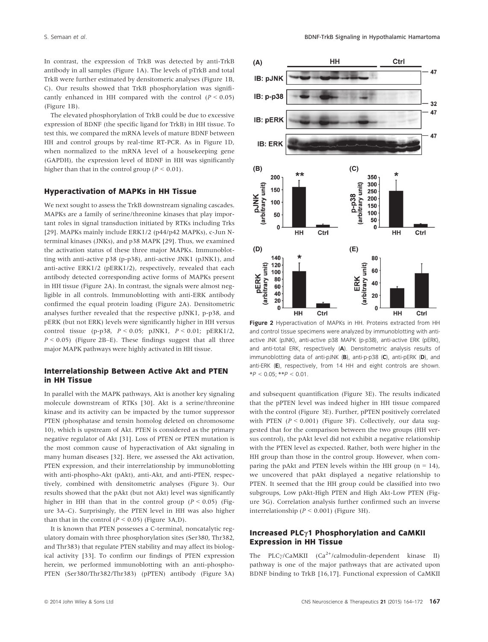In contrast, the expression of TrkB was detected by anti-TrkB antibody in all samples (Figure 1A). The levels of pTrkB and total TrkB were further estimated by densitomeric analyses (Figure 1B, C). Our results showed that TrkB phosphorylation was significantly enhanced in HH compared with the control  $(P < 0.05)$ (Figure 1B).

The elevated phosphorylation of TrkB could be due to excessive expression of BDNF (the specific ligand for TrkB) in HH tissue. To test this, we compared the mRNA levels of mature BDNF between HH and control groups by real-time RT-PCR. As in Figure 1D, when normalized to the mRNA level of a housekeeping gene (GAPDH), the expression level of BDNF in HH was significantly higher than that in the control group ( $P < 0.01$ ).

#### Hyperactivation of MAPKs in HH Tissue

We next sought to assess the TrkB downstream signaling cascades. MAPKs are a family of serine/threonine kinases that play important roles in signal transduction initiated by RTKs including Trks [29]. MAPKs mainly include ERK1/2 (p44/p42 MAPKs), c-Jun Nterminal kinases (JNKs), and p38 MAPK [29]. Thus, we examined the activation status of these three major MAPKs. Immunoblotting with anti-active p38 (p-p38), anti-active JNK1 (pJNK1), and anti-active ERK1/2 (pERK1/2), respectively, revealed that each antibody detected corresponding active forms of MAPKs present in HH tissue (Figure 2A). In contrast, the signals were almost negligible in all controls. Immunoblotting with anti-ERK antibody confirmed the equal protein loading (Figure 2A). Densitometric analyses further revealed that the respective pJNK1, p-p38, and pERK (but not ERK) levels were significantly higher in HH versus control tissue (p-p38,  $P < 0.05$ ; pJNK1,  $P < 0.01$ ; pERK1/2,  $P < 0.05$ ) (Figure 2B–E). These findings suggest that all three major MAPK pathways were highly activated in HH tissue.

#### Interrelationship Between Active Akt and PTEN in HH Tissue

In parallel with the MAPK pathways, Akt is another key signaling molecule downstream of RTKs [30]. Akt is a serine/threonine kinase and its activity can be impacted by the tumor suppressor PTEN (phosphatase and tensin homolog deleted on chromosome 10), which is upstream of Akt. PTEN is considered as the primary negative regulator of Akt [31]. Loss of PTEN or PTEN mutation is the most common cause of hyperactivation of Akt signaling in many human diseases [32]. Here, we assessed the Akt activation, PTEN expression, and their interrelationship by immunoblotting with anti-phospho-Akt (pAkt), anti-Akt, and anti-PTEN, respectively, combined with densitometric analyses (Figure 3). Our results showed that the pAkt (but not Akt) level was significantly higher in HH than that in the control group ( $P < 0.05$ ) (Figure 3A–C). Surprisingly, the PTEN level in HH was also higher than that in the control ( $P \le 0.05$ ) (Figure 3A,D).

It is known that PTEN possesses a C-terminal, noncatalytic regulatory domain with three phosphorylation sites (Ser380, Thr382, and Thr383) that regulate PTEN stability and may affect its biological activity [33]. To confirm our findings of PTEN expression herein, we performed immunoblotting with an anti-phospho-PTEN (Ser380/Thr382/Thr383) (pPTEN) antibody (Figure 3A)



Figure 2 Hyperactivation of MAPKs in HH. Proteins extracted from HH and control tissue specimens were analyzed by immunoblotting with antiactive JNK (pJNK), anti-active p38 MAPK (p-p38), anti-active ERK (pERK), and anti-total ERK, respectively (A). Densitometric analysis results of immunoblotting data of anti-pJNK (B), anti-p-p38 (C), anti-pERK (D), and anti-ERK (E), respectively, from 14 HH and eight controls are shown.  $*P < 0.05$ ;  $*P < 0.01$ .

and subsequent quantification (Figure 3E). The results indicated that the pPTEN level was indeed higher in HH tissue compared with the control (Figure 3E). Further, pPTEN positively correlated with PTEN ( $P < 0.001$ ) (Figure 3F). Collectively, our data suggested that for the comparison between the two groups (HH versus control), the pAkt level did not exhibit a negative relationship with the PTEN level as expected. Rather, both were higher in the HH group than those in the control group. However, when comparing the pAkt and PTEN levels within the HH group  $(n = 14)$ , we uncovered that pAkt displayed a negative relationship to PTEN. It seemed that the HH group could be classified into two subgroups, Low pAkt-High PTEN and High Akt-Low PTEN (Figure 3G). Correlation analysis further confirmed such an inverse interrelationship ( $P < 0.001$ ) (Figure 3H).

#### Increased PLC $\gamma$ 1 Phosphorylation and CaMKII Expression in HH Tissue

The PLC $\gamma$ /CaMKII (Ca<sup>2+</sup>/calmodulin-dependent kinase II) pathway is one of the major pathways that are activated upon BDNF binding to TrkB [16,17]. Functional expression of CaMKII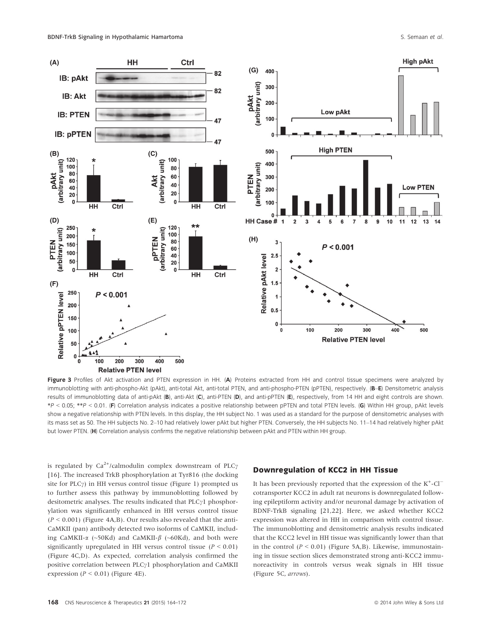

Figure 3 Profiles of Akt activation and PTEN expression in HH. (A) Proteins extracted from HH and control tissue specimens were analyzed by immunoblotting with anti-phospho-Akt (pAkt), anti-total Akt, anti-total PTEN, and anti-phospho-PTEN (pPTEN), respectively. (B-E) Densitometric analysis results of immunoblotting data of anti-pAkt (B), anti-Akt (C), anti-PTEN (D), and anti-pPTEN (E), respectively, from 14 HH and eight controls are shown. \*P < 0.05; \*\*P < 0.01. (F) Correlation analysis indicates a positive relationship between pPTEN and total PTEN levels. (G) Within HH group, pAkt levels show a negative relationship with PTEN levels. In this display, the HH subject No. 1 was used as a standard for the purpose of densitometric analyses with its mass set as 50. The HH subjects No. 2–10 had relatively lower pAkt but higher PTEN. Conversely, the HH subjects No. 11–14 had relatively higher pAkt but lower PTEN. (H) Correlation analysis confirms the negative relationship between pAkt and PTEN within HH group.

is regulated by  $Ca^{2+}/cal$ calmodulin complex downstream of PLC $\gamma$ [16]. The increased TrkB phosphorylation at Tyr816 (the docking site for  $PLC\gamma$ ) in HH versus control tissue (Figure 1) prompted us to further assess this pathway by immunoblotting followed by desitometric analyses. The results indicated that  $PLCyl$  phosphorylation was significantly enhanced in HH versus control tissue  $(P < 0.001)$  (Figure 4A,B). Our results also revealed that the anti-CaMKII (pan) antibody detected two isoforms of CaMKII, including CaMKII- $\alpha$  (~50Kd) and CaMKII- $\beta$  (~60Kd), and both were significantly upregulated in HH versus control tissue ( $P < 0.01$ ) (Figure 4C,D). As expected, correlation analysis confirmed the positive correlation between  $PLC_71$  phosphorylation and CaMKII expression ( $P \le 0.01$ ) (Figure 4E).

## Downregulation of KCC2 in HH Tissue

It has been previously reported that the expression of the  $K^+$ -Cl<sup>-</sup> cotransporter KCC2 in adult rat neurons is downregulated following epileptiform activity and/or neuronal damage by activation of BDNF-TrkB signaling [21,22]. Here, we asked whether KCC2 expression was altered in HH in comparison with control tissue. The immunoblotting and densitometric analysis results indicated that the KCC2 level in HH tissue was significantly lower than that in the control  $(P < 0.01)$  (Figure 5A,B). Likewise, immunostaining in tissue section slices demonstrated strong anti-KCC2 immunoreactivity in controls versus weak signals in HH tissue (Figure 5C, arrows).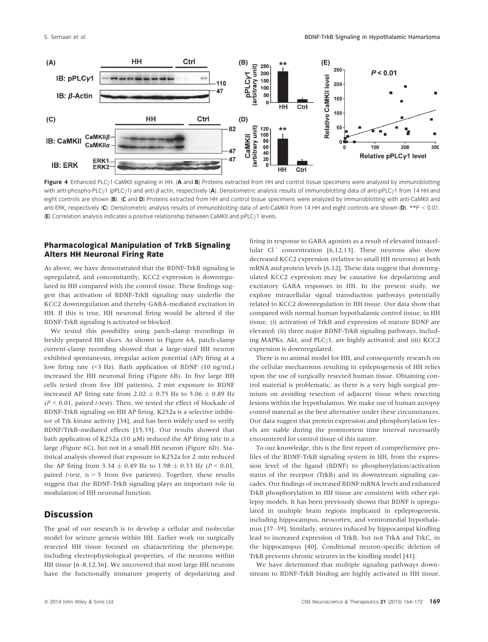

Figure 4 Enhanced PLC<sub>2</sub>1-CaMKII signaling in HH. (A and B) Proteins extracted from HH and control tissue specimens were analyzed by immunoblotting with anti-phospho-PLC<sub>2</sub>1 (pPLC<sub>2</sub>1) and anti-*ß*-actin, respectively (A). Densitometric analysis results of immunoblotting data of anti-pPLC<sub>2</sub>1 from 14 HH and eight controls are shown (B). (C and D) Proteins extracted from HH and control tissue specimens were analyzed by immunoblotting with anti-CaMKII and anti-ERK, respectively (C). Densitometric analysis results of immunoblotting data of anti-CaMKII from 14 HH and eight controls are shown (D). \*\*P < 0.01. (E) Correlation analysis indicates a positive relationship between CaMKII and  $pPLC_11$  levels.

#### Pharmacological Manipulation of TrkB Signaling Alters HH Neuronal Firing Rate

As above, we have demonstrated that the BDNF-TrkB signaling is upregulated, and concomitantly, KCC2 expression is downregulated in HH compared with the control tissue. These findings suggest that activation of BDNF-TrkB signaling may underlie the KCC2 downregulation and thereby GABA-mediated excitation in HH. If this is true, HH neuronal firing would be altered if the BDNF-TrkB signaling is activated or blocked.

We tested this possibility using patch-clamp recordings in freshly prepared HH slices. As shown in Figure 6A, patch-clamp current-clamp recording showed that a large-sized HH neuron exhibited spontaneous, irregular action potential (AP) firing at a low firing rate (<3 Hz). Bath application of BDNF (10 ng/mL) increased the HH neuronal firing (Figure 6B). In five large HH cells tested (from five HH patients), 2 min exposure to BDNF increased AP firing rate from 2.02  $\pm$  0.75 Hz to 5.06  $\pm$  0.89 Hz  $(P < 0.01$ , paired *t*-test). Then, we tested the effect of blockade of BDNF-TrkB signaling on HH AP firing. K252a is a selective inhibitor of Trk kinase activity [34], and has been widely used to verify BDNF/TrkB-mediated effects [15,35]. Our results showed that bath application of K252a (10  $\mu$ M) reduced the AP firing rate in a large (Figure 6C), but not in a small HH neuron (Figure 6D). Statistical analysis showed that exposure to K252a for 2 min reduced the AP firing from 3.34  $\pm$  0.49 Hz to 1.98  $\pm$  0.33 Hz (P < 0.01, paired *t*-test,  $n = 5$  from five patients). Together, these results suggest that the BDNF-TrkB signaling plays an important role in modulation of HH neuronal function.

## **Discussion**

The goal of our research is to develop a cellular and molecular model for seizure genesis within HH. Earlier work on surgically resected HH tissue focused on characterizing the phenotype, including electrophysiological properties, of the neurons within HH tissue [6–8,12,36]. We uncovered that most large HH neurons have the functionally immature property of depolarizing and

firing in response to GABA agonists as a result of elevated intracellular  $Cl^-$  concentration [6,12,13]. These neurons also show decreased KCC2 expression (relative to small HH neurons) at both mRNA and protein levels [6,12]. These data suggest that downregulated KCC2 expression may be causative for depolarizing and excitatory GABA responses in HH. In the present study, we explore intracellular signal transduction pathways potentially related to KCC2 downregulation in HH tissue. Our data show that compared with normal human hypothalamic control tissue, in HH tissue, (i) activation of TrkB and expression of mature BDNF are elevated; (ii) three major BDNF-TrkB signaling pathways, including MAPKs, Akt, and PLC $\gamma$ 1, are highly activated; and (iii) KCC2 expression is downregulated.

There is no animal model for HH, and consequently research on the cellular mechanisms resulting in epileptogenesis of HH relies upon the use of surgically resected human tissue. Obtaining control material is problematic, as there is a very high surgical premium on avoiding resection of adjacent tissue when resecting lesions within the hypothalamus. We make use of human autopsy control material as the best alternative under these circumstances. Our data suggest that protein expression and phosphorylation levels are stable during the postmortem time interval necessarily encountered for control tissue of this nature.

To our knowledge, this is the first report of comprehensive profiles of the BDNF-TrkB signaling system in HH, from the expression level of the ligand (BDNF) to phosphorylation/activation status of the receptor (TrkB) and its downstream signaling cascades. Our findings of increased BDNF mRNA levels and enhanced TrkB phosphorylation in HH tissue are consistent with other epilepsy models. It has been previously shown that BDNF is upregulated in multiple brain regions implicated in epileptogenesis, including hippocampus, neocortex, and ventromedial hypothalamus [37–39]. Similarly, seizures induced by hippocampal kindling lead to increased expression of TrkB, but not TrkA and TrkC, in the hippocampus [40]. Conditional neuron-specific deletion of TrkB prevents chronic seizures in the kindling model [41].

We have determined that multiple signaling pathways downstream to BDNF-TrkB binding are highly activated in HH tissue.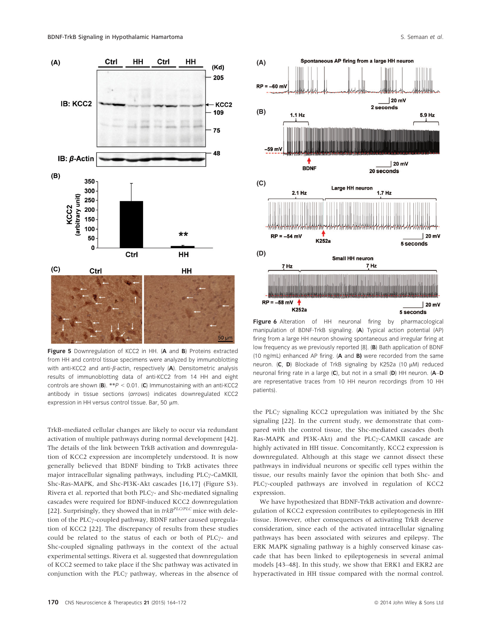

Figure 5 Downregulation of KCC2 in HH. (A and B) Proteins extracted from HH and control tissue specimens were analyzed by immunoblotting with anti-KCC2 and anti- $\beta$ -actin, respectively (A). Densitometric analysis results of immunoblotting data of anti-KCC2 from 14 HH and eight controls are shown (**B**). \*\*P < 0.01. (**C**) Immunostaining with an anti-KCC2 antibody in tissue sections (arrows) indicates downregulated KCC2 expression in HH versus control tissue. Bar, 50 µm.

TrkB-mediated cellular changes are likely to occur via redundant activation of multiple pathways during normal development [42]. The details of the link between TrkB activation and downregulation of KCC2 expression are incompletely understood. It is now generally believed that BDNF binding to TrkB activates three major intracellular signaling pathways, including PLC<sub>7</sub>-CaMKII, Shc-Ras-MAPK, and Shc-PI3K-Akt cascades [16,17] (Figure S3). Rivera et al. reported that both PLC $\gamma$ - and Shc-mediated signaling cascades were required for BDNF-induced KCC2 downregulation [22]. Surprisingly, they showed that in  $trkB^{PLC/PLC}$  mice with deletion of the PLC $\gamma$ -coupled pathway, BDNF rather caused upregulation of KCC2 [22]. The discrepancy of results from these studies could be related to the status of each or both of PLC $\gamma$ - and Shc-coupled signaling pathways in the context of the actual experimental settings. Rivera et al. suggested that downregulation of KCC2 seemed to take place if the Shc pathway was activated in conjunction with the PLC $\gamma$  pathway, whereas in the absence of



Figure 6 Alteration of HH neuronal firing by pharmacological manipulation of BDNF-TrkB signaling. (A) Typical action potential (AP) firing from a large HH neuron showing spontaneous and irregular firing at low frequency as we previously reported [8]. (B) Bath application of BDNF (10 ng/mL) enhanced AP firing.  $(A \text{ and } B)$  were recorded from the same neuron.  $(C, D)$  Blockade of TrkB signaling by K252a (10  $\mu$ M) reduced neuronal firing rate in a large (C), but not in a small (D) HH neuron. (A–D are representative traces from 10 HH neuron recordings (from 10 HH patients).

the PLC $\gamma$  signaling KCC2 upregulation was initiated by the Shc signaling [22]. In the current study, we demonstrate that compared with the control tissue, the Shc-mediated cascades (both Ras-MAPK and PI3K-Akt) and the PLCy-CAMKII cascade are highly activated in HH tissue. Concomitantly, KCC2 expression is downregulated. Although at this stage we cannot dissect these pathways in individual neurons or specific cell types within the tissue, our results mainly favor the opinion that both Shc- and PLCy-coupled pathways are involved in regulation of KCC2 expression.

We have hypothesized that BDNF-TrkB activation and downregulation of KCC2 expression contributes to epileptogenesis in HH tissue. However, other consequences of activating TrkB deserve consideration, since each of the activated intracellular signaling pathways has been associated with seizures and epilepsy. The ERK MAPK signaling pathway is a highly conserved kinase cascade that has been linked to epileptogenesis in several animal models [43–48]. In this study, we show that ERK1 and EKR2 are hyperactivated in HH tissue compared with the normal control.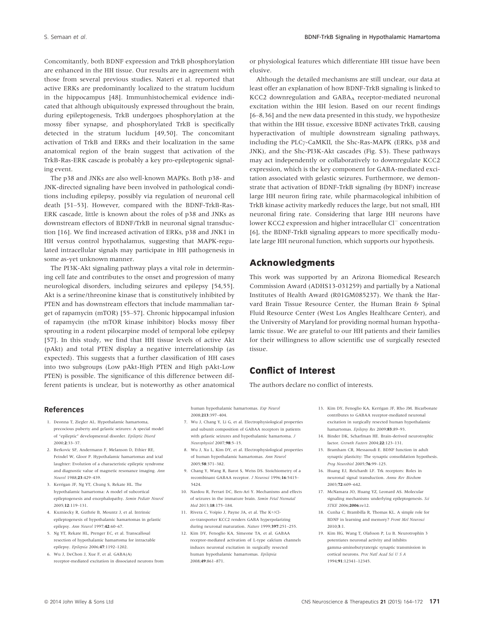Concomitantly, both BDNF expression and TrkB phosphorylation are enhanced in the HH tissue. Our results are in agreement with those from several previous studies. Nateri et al. reported that active ERKs are predominantly localized to the stratum lucidum in the hippocampus [48]. Immunhistochemical evidence indicated that although ubiquitously expressed throughout the brain, during epileptogenesis, TrkB undergoes phosphorylation at the mossy fiber synapse, and phosphorylated TrkB is specifically detected in the stratum lucidum [49,50]. The concomitant activation of TrkB and ERKs and their localization in the same anatomical region of the brain suggest that activation of the TrkB-Ras-ERK cascade is probably a key pro-epileptogenic signaling event.

The p38 and JNKs are also well-known MAPKs. Both p38- and JNK-directed signaling have been involved in pathological conditions including epilepsy, possibly via regulation of neuronal cell death [51–53]. However, compared with the BDNF-TrkB-Ras-ERK cascade, little is known about the roles of p38 and JNKs as downstream effectors of BDNF/TrkB in neuronal signal transduction [16]. We find increased activation of ERKs, p38 and JNK1 in HH versus control hypothalamus, suggesting that MAPK-regulated intracellular signals may participate in HH pathogenesis in some as-yet unknown manner.

The PI3K-Akt signaling pathway plays a vital role in determining cell fate and contributes to the onset and progression of many neurological disorders, including seizures and epilepsy [54,55]. Akt is a serine/threonine kinase that is constitutively inhibited by PTEN and has downstream effectors that include mammalian target of rapamycin (mTOR) [55–57]. Chronic hippocampal infusion of rapamycin (the mTOR kinase inhibitor) blocks mossy fiber sprouting in a rodent pilocarpine model of temporal lobe epilepsy [57]. In this study, we find that HH tissue levels of active Akt (pAkt) and total PTEN display a negative interrelationship (as expected). This suggests that a further classification of HH cases into two subgroups (Low pAkt-High PTEN and High pAkt-Low PTEN) is possible. The significance of this difference between different patients is unclear, but is noteworthy as other anatomical or physiological features which differentiate HH tissue have been elusive.

Although the detailed mechanisms are still unclear, our data at least offer an explanation of how BDNF-TrkB signaling is linked to KCC2 downregulation and GABAA receptor-mediated neuronal excitation within the HH lesion. Based on our recent findings [6–8,36] and the new data presented in this study, we hypothesize that within the HH tissue, excessive BDNF activates TrkB, causing hyperactivation of multiple downstream signaling pathways, including the PLC $\gamma$ -CaMKII, the Shc-Ras-MAPK (ERKs, p38 and JNK), and the Shc-PI3K-Akt cascades (Fig. S3). These pathways may act independently or collaboratively to downregulate KCC2 expression, which is the key component for GABA-mediated excitation associated with gelastic seizures. Furthermore, we demonstrate that activation of BDNF-TrkB signaling (by BDNF) increase large HH neuron firing rate, while pharmacological inhibition of TrkB kinase activity markedly reduces the large, but not small, HH neuronal firing rate. Considering that large HH neurons have lower KCC2 expression and higher intracellular Cl<sup>-</sup> concentration [6], the BDNF-TrkB signaling appears to more specifically modulate large HH neuronal function, which supports our hypothesis.

### Acknowledgments

This work was supported by an Arizona Biomedical Research Commission Award (ADHS13-031259) and partially by a National Institutes of Health Award (R01GM085237). We thank the Harvard Brain Tissue Resource Center, the Human Brain & Spinal Fluid Resource Center (West Los Angles Healthcare Center), and the University of Maryland for providing normal human hypothalamic tissue. We are grateful to our HH patients and their families for their willingness to allow scientific use of surgically resected tissue.

## Conflict of Interest

The authors declare no conflict of interests.

#### References

- 1. Deonna T, Ziegler AL. Hypothalamic hamartoma, precocious puberty and gelastic seizures: A special model of "epileptic" developmental disorder. Epileptic Disord 2000;2:33–37.
- 2. Berkovic SF, Andermann F, Melanson D, Ethier RE, Feindel W, Gloor P. Hypothalamic hamartomas and ictal laughter: Evolution of a characteristic epileptic syndrome and diagnostic value of magnetic resonance imaging. Ann Neurol 1988;23:429–439.
- 3. Kerrigan JF, Ng YT, Chung S, Rekate HL. The hypothalamic hamartoma: A model of subcortical epileptogenesis and encephalopathy. Semin Pediatr Neurol 2005;12:119–131.
- 4. Kuzniecky R, Guthrie B, Mountz J, et al. Intrinsic epileptogenesis of hypothalamic hamartomas in gelastic epilepsy. Ann Neurol 1997;42:60–67.
- 5. Ng YT, Rekate HL, Prenger EC, et al. Transcallosal resection of hypothalamic hamartoma for intractable epilepsy. Epilepsia 2006;47:1192–1202.
- 6. Wu J, DeChon J, Xue F, et al. GABA(A) receptor-mediated excitation in dissociated neurons from

human hypothalamic hamartomas. Exp Neurol 2008;213:397–404.

- 7. Wu J, Chang Y, Li G, et al. Electrophysiological properties and subunit composition of GABAA receptors in patients with gelastic seizures and hypothalamic hamartoma.  ${\cal J}$ Neurophysiol 2007;98:5–15.
- 8. Wu J, Xu L, Kim DY, et al. Electrophysiological properties of human hypothalamic hamartomas. Ann Neurol 2005;58:371–382.
- 9. Chang Y, Wang R, Barot S, Weiss DS. Stoichiometry of a recombinant GABAA receptor. J Neurosci 1996;16:5415– 5424.
- 10. Nardou R, Ferrari DC, Ben-Ari Y. Mechanisms and effects of seizures in the immature brain. Semin Fetal Neonatal Med 2013;18:175–184.
- 11. Rivera C, Voipio J, Payne JA, et al. The K+/Clco-transporter KCC2 renders GABA hyperpolarizing during neuronal maturation. Nature 1999;397:251-255.
- 12. Kim DY, Fenoglio KA, Simeone TA, et al. GABAA receptor-mediated activation of L-type calcium channels induces neuronal excitation in surgically resected human hypothalamic hamartomas. Epilepsia 2008;49:861–871.
- 13. Kim DY, Fenoglio KA, Kerrigan JF, Rho JM. Bicarbonate contributes to GABAA receptor-mediated neuronal excitation in surgically resected human hypothalamic hamartomas. Epilepsy Res 2009;83:89-93.
- 14. Binder DK, Scharfman HE. Brain-derived neurotrophic factor. Growth Factors 2004;22:123–131.
- 15. Bramham CR, Messaoudi E. BDNF function in adult synaptic plasticity: The synaptic consolidation hypothesis. Prog Neurobiol 2005;76:99–125.
- 16. Huang EJ, Reichardt LF. Trk receptors: Roles in neuronal signal transduction. Annu Rev Biochem 2003;72:609–642.
- 17. McNamara JO, Huang YZ, Leonard AS. Molecular signaling mechanisms underlying epileptogenesis. Sci STKE 2006;2006:re12.
- 18. Cunha C, Brambilla R, Thomas KL. A simple role for BDNF in learning and memory? Front Mol Neurosci 2010;3:1.
- 19. Kim HG, Wang T, Olafsson P, Lu B. Neurotrophin 3 potentiates neuronal activity and inhibits gamma-aminobutyratergic synaptic transmission in cortical neurons. Proc Natl Acad Sci U S A 1994;91:12341–12345.